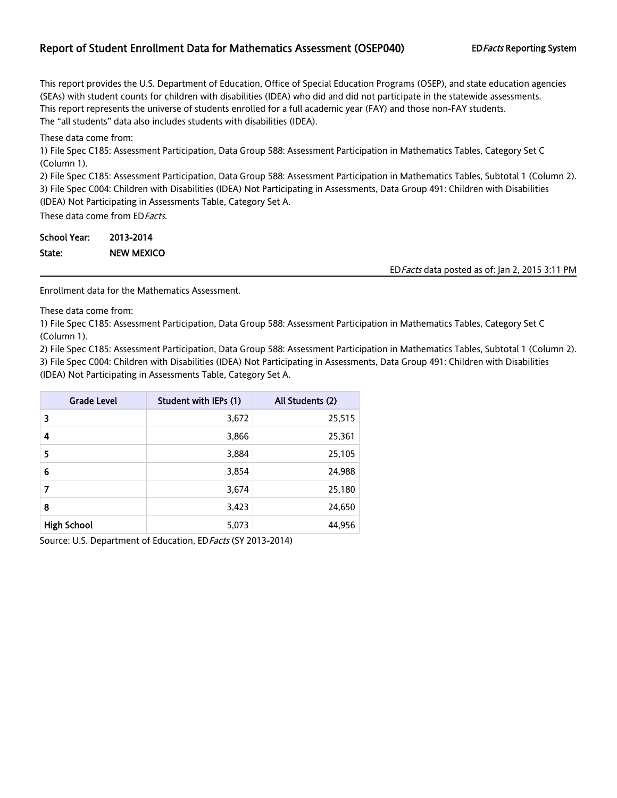## Report of Student Enrollment Data for Mathematics Assessment (OSEP040) EDFacts Reporting System

This report provides the U.S. Department of Education, Office of Special Education Programs (OSEP), and state education agencies (SEAs) with student counts for children with disabilities (IDEA) who did and did not participate in the statewide assessments. This report represents the universe of students enrolled for a full academic year (FAY) and those non-FAY students. The "all students" data also includes students with disabilities (IDEA).

These data come from:

1) File Spec C185: Assessment Participation, Data Group 588: Assessment Participation in Mathematics Tables, Category Set C (Column 1).

2) File Spec C185: Assessment Participation, Data Group 588: Assessment Participation in Mathematics Tables, Subtotal 1 (Column 2). 3) File Spec C004: Children with Disabilities (IDEA) Not Participating in Assessments, Data Group 491: Children with Disabilities (IDEA) Not Participating in Assessments Table, Category Set A.

These data come from ED Facts.

| School Year: | 2013-2014         |                                                 |
|--------------|-------------------|-------------------------------------------------|
| State:       | <b>NEW MEXICO</b> |                                                 |
|              |                   | ED Facts data posted as of: Jan 2, 2015 3:11 PM |

Enrollment data for the Mathematics Assessment.

These data come from:

1) File Spec C185: Assessment Participation, Data Group 588: Assessment Participation in Mathematics Tables, Category Set C (Column 1).

2) File Spec C185: Assessment Participation, Data Group 588: Assessment Participation in Mathematics Tables, Subtotal 1 (Column 2).

3) File Spec C004: Children with Disabilities (IDEA) Not Participating in Assessments, Data Group 491: Children with Disabilities (IDEA) Not Participating in Assessments Table, Category Set A.

| <b>Grade Level</b> | Student with IEPs (1) | All Students (2) |
|--------------------|-----------------------|------------------|
| 3                  | 3,672                 | 25,515           |
| 4                  | 3,866                 | 25,361           |
| 5                  | 3,884                 | 25,105           |
| 6                  | 3,854                 | 24,988           |
| 7                  | 3,674                 | 25,180           |
| 8                  | 3,423                 | 24,650           |
| <b>High School</b> | 5,073                 | 44,956           |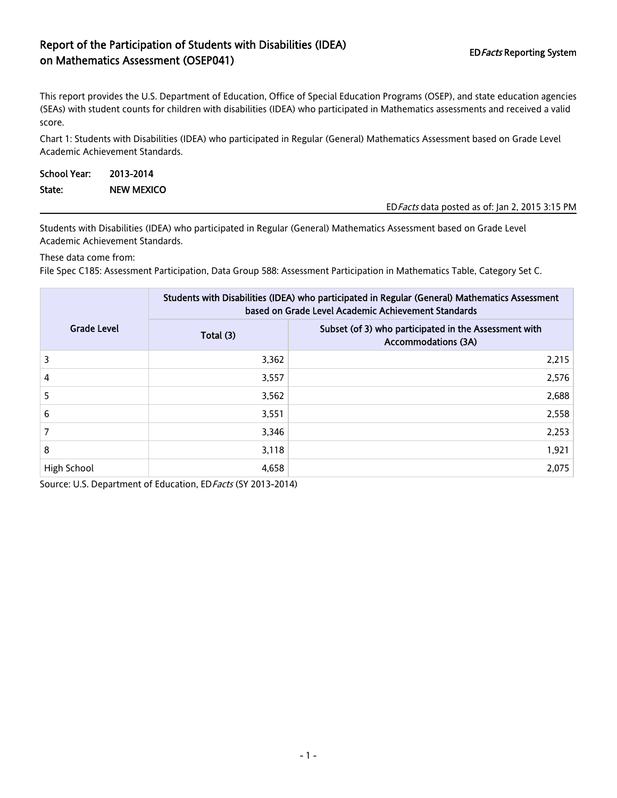# Report of the Participation of Students with Disabilities (IDEA) on Mathematics Assessment (OSEP041)<br>The Mathematics Assessment (OSEP041)

This report provides the U.S. Department of Education, Office of Special Education Programs (OSEP), and state education agencies (SEAs) with student counts for children with disabilities (IDEA) who participated in Mathematics assessments and received a valid score.

Chart 1: Students with Disabilities (IDEA) who participated in Regular (General) Mathematics Assessment based on Grade Level Academic Achievement Standards.

| School Year: | 2013-2014         |                                                 |
|--------------|-------------------|-------------------------------------------------|
| State:       | <b>NEW MEXICO</b> |                                                 |
|              |                   | ED Facts data posted as of: Jan 2, 2015 3:15 PM |

Students with Disabilities (IDEA) who participated in Regular (General) Mathematics Assessment based on Grade Level Academic Achievement Standards.

These data come from:

File Spec C185: Assessment Participation, Data Group 588: Assessment Participation in Mathematics Table, Category Set C.

|                    | Students with Disabilities (IDEA) who participated in Regular (General) Mathematics Assessment<br>based on Grade Level Academic Achievement Standards |                                                                                     |  |  |  |
|--------------------|-------------------------------------------------------------------------------------------------------------------------------------------------------|-------------------------------------------------------------------------------------|--|--|--|
| <b>Grade Level</b> | Total (3)                                                                                                                                             | Subset (of 3) who participated in the Assessment with<br><b>Accommodations (3A)</b> |  |  |  |
| 3                  | 3,362                                                                                                                                                 | 2,215                                                                               |  |  |  |
| $\overline{4}$     | 3,557                                                                                                                                                 | 2,576                                                                               |  |  |  |
| 5                  | 3,562                                                                                                                                                 | 2,688                                                                               |  |  |  |
| 6                  | 3,551                                                                                                                                                 | 2,558                                                                               |  |  |  |
|                    | 3.346                                                                                                                                                 | 2,253                                                                               |  |  |  |
| 8                  | 3,118                                                                                                                                                 | 1,921                                                                               |  |  |  |
| High School        | 4,658                                                                                                                                                 | 2,075                                                                               |  |  |  |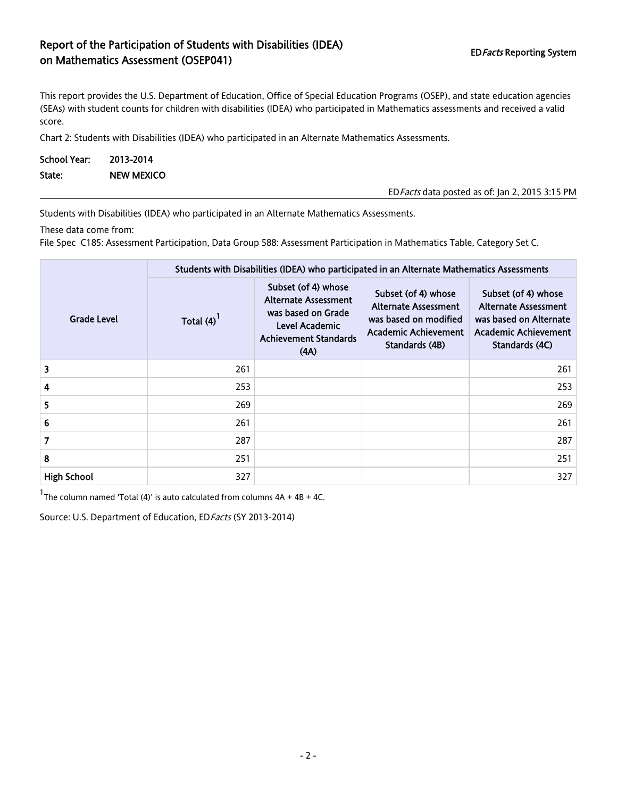# Report of the Participation of Students with Disabilities (IDEA) Report of the Farticipation of Students With Bisabilities (IBB) external extension on Mathematics Assessment (OSEP041)

EDFacts data posted as of: Jan 2, 2015 3:15 PM

This report provides the U.S. Department of Education, Office of Special Education Programs (OSEP), and state education agencies (SEAs) with student counts for children with disabilities (IDEA) who participated in Mathematics assessments and received a valid score.

Chart 2: Students with Disabilities (IDEA) who participated in an Alternate Mathematics Assessments.

| School Year: 2013-2014 |                   |
|------------------------|-------------------|
| State:                 | <b>NEW MEXICO</b> |

Students with Disabilities (IDEA) who participated in an Alternate Mathematics Assessments.

These data come from:

File Spec C185: Assessment Participation, Data Group 588: Assessment Participation in Mathematics Table, Category Set C.

|                    | Students with Disabilities (IDEA) who participated in an Alternate Mathematics Assessments |                                                                                                                                    |                                                                                                                              |                                                                                                                               |  |  |  |
|--------------------|--------------------------------------------------------------------------------------------|------------------------------------------------------------------------------------------------------------------------------------|------------------------------------------------------------------------------------------------------------------------------|-------------------------------------------------------------------------------------------------------------------------------|--|--|--|
| <b>Grade Level</b> | Total $(4)$                                                                                | Subset (of 4) whose<br><b>Alternate Assessment</b><br>was based on Grade<br>Level Academic<br><b>Achievement Standards</b><br>(AA) | Subset (of 4) whose<br><b>Alternate Assessment</b><br>was based on modified<br><b>Academic Achievement</b><br>Standards (4B) | Subset (of 4) whose<br><b>Alternate Assessment</b><br>was based on Alternate<br><b>Academic Achievement</b><br>Standards (4C) |  |  |  |
| 3                  | 261                                                                                        |                                                                                                                                    |                                                                                                                              | 261                                                                                                                           |  |  |  |
| 4                  | 253                                                                                        |                                                                                                                                    |                                                                                                                              | 253                                                                                                                           |  |  |  |
| 5                  | 269                                                                                        |                                                                                                                                    |                                                                                                                              | 269                                                                                                                           |  |  |  |
| 6                  | 261                                                                                        |                                                                                                                                    |                                                                                                                              | 261                                                                                                                           |  |  |  |
| 7                  | 287                                                                                        |                                                                                                                                    |                                                                                                                              | 287                                                                                                                           |  |  |  |
| 8                  | 251                                                                                        |                                                                                                                                    |                                                                                                                              | 251                                                                                                                           |  |  |  |
| <b>High School</b> | 327                                                                                        |                                                                                                                                    |                                                                                                                              | 327                                                                                                                           |  |  |  |

<sup>1</sup>The column named 'Total (4)' is auto calculated from columns  $4A + 4B + 4C$ .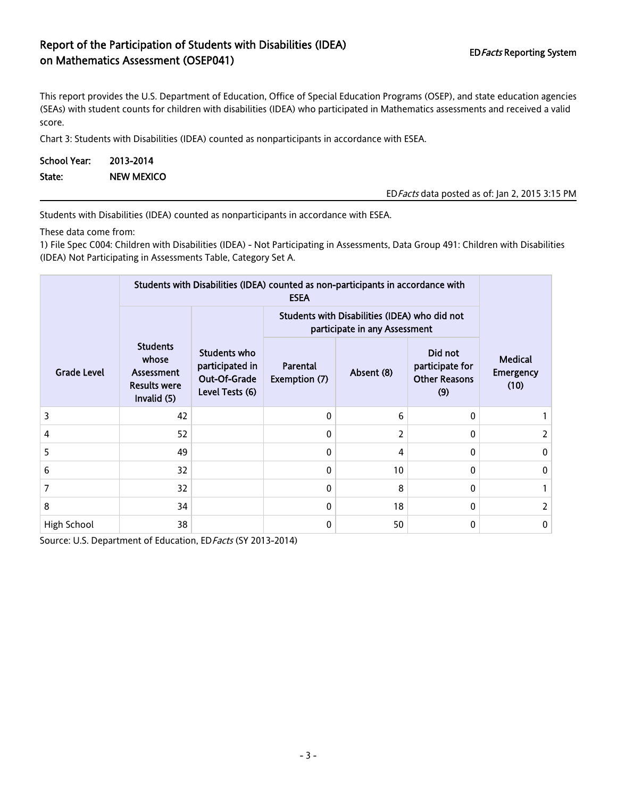# Report of the Participation of Students with Disabilities (IDEA) on Mathematics Assessment (OSEP041)<br>The Mathematics Assessment (OSEP041)

This report provides the U.S. Department of Education, Office of Special Education Programs (OSEP), and state education agencies (SEAs) with student counts for children with disabilities (IDEA) who participated in Mathematics assessments and received a valid score.

Chart 3: Students with Disabilities (IDEA) counted as nonparticipants in accordance with ESEA.

| School Year: | 2013-2014         |
|--------------|-------------------|
| State:       | <b>NEW MEXICO</b> |

EDFacts data posted as of: Jan 2, 2015 3:15 PM

Students with Disabilities (IDEA) counted as nonparticipants in accordance with ESEA.

These data come from:

1) File Spec C004: Children with Disabilities (IDEA) - Not Participating in Assessments, Data Group 491: Children with Disabilities (IDEA) Not Participating in Assessments Table, Category Set A.

|                    | Students with Disabilities (IDEA) counted as non-participants in accordance with |                                                                    |                                                                                |            |                                                           |                                            |
|--------------------|----------------------------------------------------------------------------------|--------------------------------------------------------------------|--------------------------------------------------------------------------------|------------|-----------------------------------------------------------|--------------------------------------------|
|                    |                                                                                  |                                                                    | Students with Disabilities (IDEA) who did not<br>participate in any Assessment |            |                                                           |                                            |
| <b>Grade Level</b> | <b>Students</b><br>whose<br>Assessment<br><b>Results were</b><br>Invalid (5)     | Students who<br>participated in<br>Out-Of-Grade<br>Level Tests (6) | Parental<br>Exemption (7)                                                      | Absent (8) | Did not<br>participate for<br><b>Other Reasons</b><br>(9) | <b>Medical</b><br><b>Emergency</b><br>(10) |
| 3                  | 42                                                                               |                                                                    | 0                                                                              | 6          | 0                                                         |                                            |
| 4                  | 52                                                                               |                                                                    | 0                                                                              | 2          | 0                                                         | 2                                          |
| 5                  | 49                                                                               |                                                                    | 0                                                                              | 4          | 0                                                         | 0                                          |
| 6                  | 32                                                                               |                                                                    | 0                                                                              | 10         | 0                                                         | 0                                          |
| 7                  | 32                                                                               |                                                                    | 0                                                                              | 8          | 0                                                         |                                            |
| 8                  | 34                                                                               |                                                                    | 0                                                                              | 18         | 0                                                         | 2                                          |
| High School        | 38                                                                               |                                                                    | 0                                                                              | 50         | 0                                                         | 0                                          |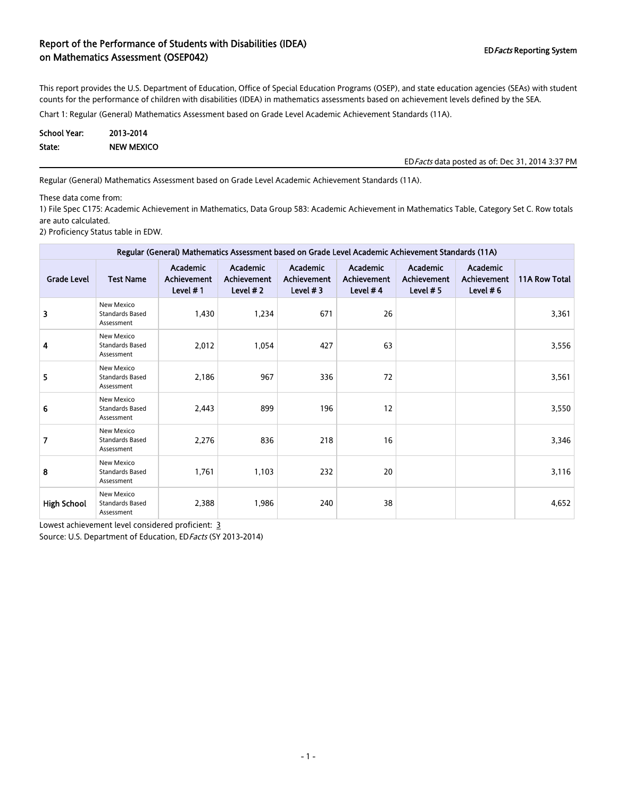## Report of the Performance of Students with Disabilities (IDEA) on Mathematics Assessment (OSEP042) and Disabilities (IDE) or Mathematics Assessment (OSEP042)

This report provides the U.S. Department of Education, Office of Special Education Programs (OSEP), and state education agencies (SEAs) with student counts for the performance of children with disabilities (IDEA) in mathematics assessments based on achievement levels defined by the SEA.

Chart 1: Regular (General) Mathematics Assessment based on Grade Level Academic Achievement Standards (11A).

| School Year: | 2013-2014         |
|--------------|-------------------|
| State:       | <b>NEW MEXICO</b> |

EDFacts data posted as of: Dec 31, 2014 3:37 PM

Regular (General) Mathematics Assessment based on Grade Level Academic Achievement Standards (11A).

These data come from:

1) File Spec C175: Academic Achievement in Mathematics, Data Group 583: Academic Achievement in Mathematics Table, Category Set C. Row totals are auto calculated.

2) Proficiency Status table in EDW.

| Regular (General) Mathematics Assessment based on Grade Level Academic Achievement Standards (11A) |                                                    |                                                      |                                            |                                                      |                                                     |                                               |                                               |                      |
|----------------------------------------------------------------------------------------------------|----------------------------------------------------|------------------------------------------------------|--------------------------------------------|------------------------------------------------------|-----------------------------------------------------|-----------------------------------------------|-----------------------------------------------|----------------------|
| <b>Grade Level</b>                                                                                 | <b>Test Name</b>                                   | <b>Academic</b><br><b>Achievement</b><br>Level $# 1$ | Academic<br><b>Achievement</b><br>Level #2 | <b>Academic</b><br><b>Achievement</b><br>Level $# 3$ | <b>Academic</b><br><b>Achievement</b><br>Level $#4$ | Academic<br><b>Achievement</b><br>Level $# 5$ | Academic<br><b>Achievement</b><br>Level $# 6$ | <b>11A Row Total</b> |
| 3                                                                                                  | New Mexico<br><b>Standards Based</b><br>Assessment | 1,430                                                | 1,234                                      | 671                                                  | 26                                                  |                                               |                                               | 3,361                |
| 4                                                                                                  | New Mexico<br><b>Standards Based</b><br>Assessment | 2,012                                                | 1,054                                      | 427                                                  | 63                                                  |                                               |                                               | 3,556                |
| 5                                                                                                  | New Mexico<br><b>Standards Based</b><br>Assessment | 2,186                                                | 967                                        | 336                                                  | 72                                                  |                                               |                                               | 3,561                |
| 6                                                                                                  | New Mexico<br><b>Standards Based</b><br>Assessment | 2,443                                                | 899                                        | 196                                                  | 12                                                  |                                               |                                               | 3,550                |
| 7                                                                                                  | New Mexico<br><b>Standards Based</b><br>Assessment | 2,276                                                | 836                                        | 218                                                  | 16                                                  |                                               |                                               | 3,346                |
| 8                                                                                                  | New Mexico<br><b>Standards Based</b><br>Assessment | 1,761                                                | 1,103                                      | 232                                                  | 20                                                  |                                               |                                               | 3,116                |
| <b>High School</b>                                                                                 | New Mexico<br><b>Standards Based</b><br>Assessment | 2,388                                                | 1,986                                      | 240                                                  | 38                                                  |                                               |                                               | 4,652                |

Lowest achievement level considered proficient: 3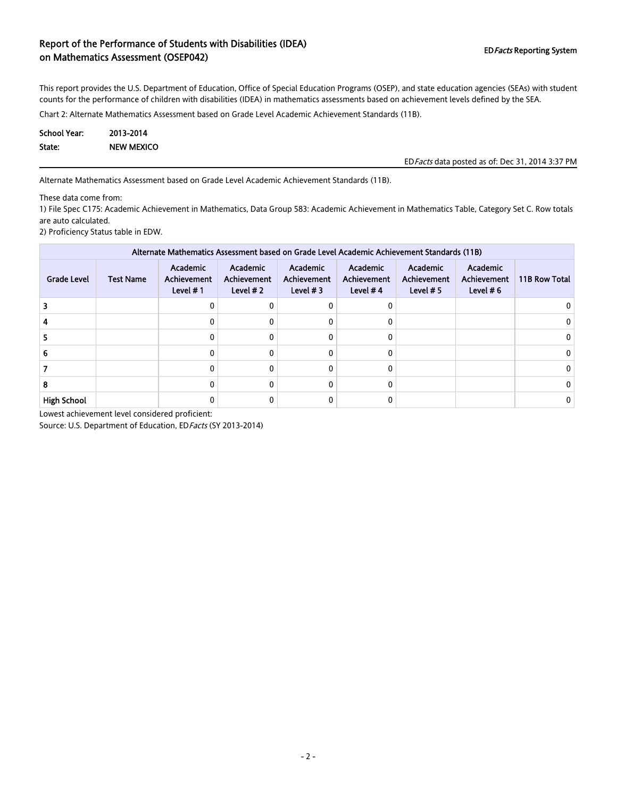## Report of the Performance of Students with Disabilities (IDEA) on Mathematics Assessment (OSEP042) and Disabilities (IDE) or Mathematics Assessment (OSEP042)

This report provides the U.S. Department of Education, Office of Special Education Programs (OSEP), and state education agencies (SEAs) with student counts for the performance of children with disabilities (IDEA) in mathematics assessments based on achievement levels defined by the SEA.

Chart 2: Alternate Mathematics Assessment based on Grade Level Academic Achievement Standards (11B).

| School Year: | 2013-2014         |
|--------------|-------------------|
| State:       | <b>NEW MEXICO</b> |

EDFacts data posted as of: Dec 31, 2014 3:37 PM

Alternate Mathematics Assessment based on Grade Level Academic Achievement Standards (11B).

These data come from:

1) File Spec C175: Academic Achievement in Mathematics, Data Group 583: Academic Achievement in Mathematics Table, Category Set C. Row totals are auto calculated.

2) Proficiency Status table in EDW.

| Alternate Mathematics Assessment based on Grade Level Academic Achievement Standards (11B) |                  |                                               |                                              |                                       |                                              |                                               |                                               |               |
|--------------------------------------------------------------------------------------------|------------------|-----------------------------------------------|----------------------------------------------|---------------------------------------|----------------------------------------------|-----------------------------------------------|-----------------------------------------------|---------------|
| <b>Grade Level</b>                                                                         | <b>Test Name</b> | Academic<br><b>Achievement</b><br>Level $# 1$ | Academic<br><b>Achievement</b><br>Level $#2$ | Academic<br>Achievement<br>Level $#3$ | Academic<br><b>Achievement</b><br>Level $#4$ | Academic<br><b>Achievement</b><br>Level $# 5$ | Academic<br><b>Achievement</b><br>Level $# 6$ | 11B Row Total |
|                                                                                            |                  |                                               | 0                                            |                                       |                                              |                                               |                                               | 0.            |
|                                                                                            |                  | 0                                             | 0                                            |                                       |                                              |                                               |                                               | 0             |
|                                                                                            |                  | 0                                             | 0                                            |                                       |                                              |                                               |                                               | 0             |
|                                                                                            |                  | 0                                             | 0                                            |                                       |                                              |                                               |                                               | 0             |
|                                                                                            |                  | 0                                             | 0                                            |                                       |                                              |                                               |                                               | 0             |
|                                                                                            |                  | 0                                             | 0                                            |                                       |                                              |                                               |                                               | 0             |
| <b>High School</b>                                                                         |                  |                                               |                                              |                                       |                                              |                                               |                                               | 0             |

Lowest achievement level considered proficient: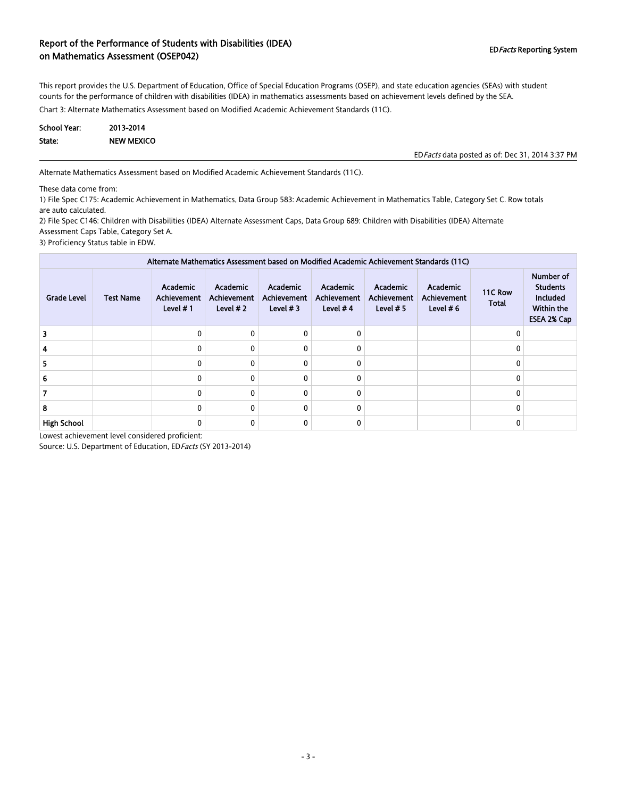### Report of the Performance of Students with Disabilities (IDEA) on Mathematics Assessment (OSEP042) And Disabilities (IDLA) And Disabilities Controlled and Disabilities Controlled and Disabilities (IDLA) and Disabilities (IDLA) and Disabilities (IDLA) and Disabilities (IDLA) and Disabi

This report provides the U.S. Department of Education, Office of Special Education Programs (OSEP), and state education agencies (SEAs) with student counts for the performance of children with disabilities (IDEA) in mathematics assessments based on achievement levels defined by the SEA.

Chart 3: Alternate Mathematics Assessment based on Modified Academic Achievement Standards (11C).

| <b>School Year:</b> | 2013-2014         |
|---------------------|-------------------|
| State:              | <b>NEW MEXICO</b> |

EDFacts data posted as of: Dec 31, 2014 3:37 PM

Alternate Mathematics Assessment based on Modified Academic Achievement Standards (11C).

These data come from:

1) File Spec C175: Academic Achievement in Mathematics, Data Group 583: Academic Achievement in Mathematics Table, Category Set C. Row totals are auto calculated.

2) File Spec C146: Children with Disabilities (IDEA) Alternate Assessment Caps, Data Group 689: Children with Disabilities (IDEA) Alternate Assessment Caps Table, Category Set A.

3) Proficiency Status table in EDW.

| Alternate Mathematics Assessment based on Modified Academic Achievement Standards (11C) |                  |                                                     |                                       |                                       |                                              |                                                      |                                        |                         |                                                                       |
|-----------------------------------------------------------------------------------------|------------------|-----------------------------------------------------|---------------------------------------|---------------------------------------|----------------------------------------------|------------------------------------------------------|----------------------------------------|-------------------------|-----------------------------------------------------------------------|
| <b>Grade Level</b>                                                                      | <b>Test Name</b> | <b>Academic</b><br><b>Achievement</b><br>Level $#1$ | Academic<br>Achievement<br>Level $#2$ | Academic<br>Achievement<br>Level $#3$ | Academic<br><b>Achievement</b><br>Level $#4$ | <b>Academic</b><br><b>Achievement</b><br>Level $# 5$ | Academic<br>Achievement<br>Level $# 6$ | 11C Row<br><b>Total</b> | Number of<br><b>Students</b><br>Included<br>Within the<br>ESEA 2% Cap |
| 3                                                                                       |                  | 0                                                   | 0                                     |                                       | $\mathbf 0$                                  |                                                      |                                        | $\Omega$                |                                                                       |
|                                                                                         |                  | 0                                                   | $\mathbf{0}$                          |                                       | $\Omega$                                     |                                                      |                                        |                         |                                                                       |
|                                                                                         |                  | 0                                                   | $\mathbf{0}$                          |                                       | $\Omega$                                     |                                                      |                                        |                         |                                                                       |
|                                                                                         |                  | 0                                                   | $\mathbf{0}$                          |                                       | 0                                            |                                                      |                                        |                         |                                                                       |
|                                                                                         |                  | 0                                                   | $\mathbf{0}$                          |                                       | 0                                            |                                                      |                                        |                         |                                                                       |
| 8                                                                                       |                  | 0                                                   | $\mathbf{0}$                          |                                       | 0                                            |                                                      |                                        | $\Omega$                |                                                                       |
| <b>High School</b>                                                                      |                  | 0                                                   | 0                                     |                                       | 0                                            |                                                      |                                        |                         |                                                                       |

Lowest achievement level considered proficient: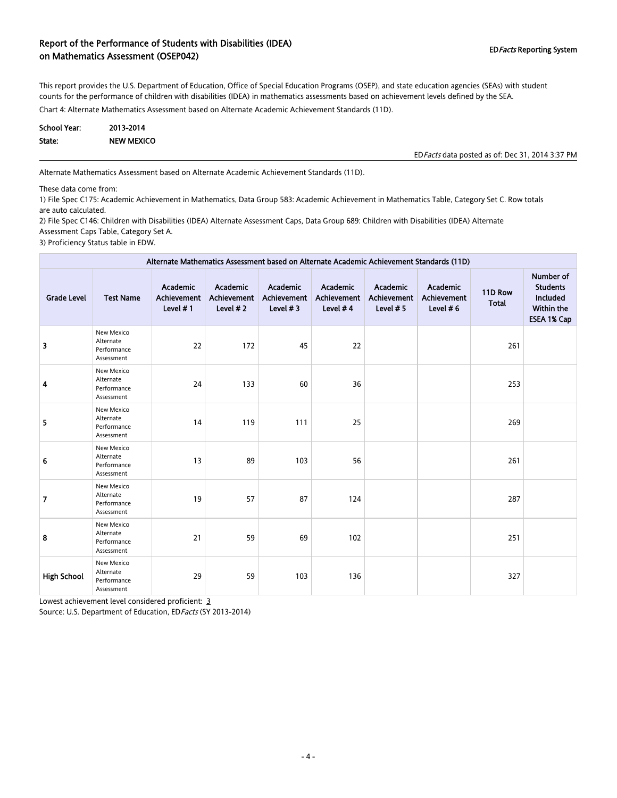### Report of the Performance of Students with Disabilities (IDEA) on Mathematics Assessment (OSEP042) and Disabilities (IDER) and the contract of the contraction of Mathematics Assessment (OSEP042)

This report provides the U.S. Department of Education, Office of Special Education Programs (OSEP), and state education agencies (SEAs) with student counts for the performance of children with disabilities (IDEA) in mathematics assessments based on achievement levels defined by the SEA.

Chart 4: Alternate Mathematics Assessment based on Alternate Academic Achievement Standards (11D).

| <b>School Year:</b> | 2013-2014         |
|---------------------|-------------------|
| State:              | <b>NEW MEXICO</b> |

EDFacts data posted as of: Dec 31, 2014 3:37 PM

Alternate Mathematics Assessment based on Alternate Academic Achievement Standards (11D).

These data come from:

1) File Spec C175: Academic Achievement in Mathematics, Data Group 583: Academic Achievement in Mathematics Table, Category Set C. Row totals are auto calculated.

2) File Spec C146: Children with Disabilities (IDEA) Alternate Assessment Caps, Data Group 689: Children with Disabilities (IDEA) Alternate Assessment Caps Table, Category Set A.

3) Proficiency Status table in EDW.

| Alternate Mathematics Assessment based on Alternate Academic Achievement Standards (11D) |                                                      |                                            |                                            |                                        |                                     |                                        |                                               |                         |                                                                                     |
|------------------------------------------------------------------------------------------|------------------------------------------------------|--------------------------------------------|--------------------------------------------|----------------------------------------|-------------------------------------|----------------------------------------|-----------------------------------------------|-------------------------|-------------------------------------------------------------------------------------|
| <b>Grade Level</b>                                                                       | <b>Test Name</b>                                     | Academic<br><b>Achievement</b><br>Level #1 | Academic<br><b>Achievement</b><br>Level #2 | Academic<br>Achievement<br>Level $# 3$ | Academic<br>Achievement<br>Level #4 | Academic<br>Achievement<br>Level $# 5$ | Academic<br><b>Achievement</b><br>Level $# 6$ | 11D Row<br><b>Total</b> | Number of<br><b>Students</b><br><b>Included</b><br>Within the<br><b>ESEA 1% Cap</b> |
| 3                                                                                        | New Mexico<br>Alternate<br>Performance<br>Assessment | 22                                         | 172                                        | 45                                     | 22                                  |                                        |                                               | 261                     |                                                                                     |
| 4                                                                                        | New Mexico<br>Alternate<br>Performance<br>Assessment | 24                                         | 133                                        | 60                                     | 36                                  |                                        |                                               | 253                     |                                                                                     |
| 5                                                                                        | New Mexico<br>Alternate<br>Performance<br>Assessment | 14                                         | 119                                        | 111                                    | 25                                  |                                        |                                               | 269                     |                                                                                     |
| 6                                                                                        | New Mexico<br>Alternate<br>Performance<br>Assessment | 13                                         | 89                                         | 103                                    | 56                                  |                                        |                                               | 261                     |                                                                                     |
| 7                                                                                        | New Mexico<br>Alternate<br>Performance<br>Assessment | 19                                         | 57                                         | 87                                     | 124                                 |                                        |                                               | 287                     |                                                                                     |
| 8                                                                                        | New Mexico<br>Alternate<br>Performance<br>Assessment | 21                                         | 59                                         | 69                                     | 102                                 |                                        |                                               | 251                     |                                                                                     |
| <b>High School</b>                                                                       | New Mexico<br>Alternate<br>Performance<br>Assessment | 29                                         | 59                                         | 103                                    | 136                                 |                                        |                                               | 327                     |                                                                                     |

Lowest achievement level considered proficient: 3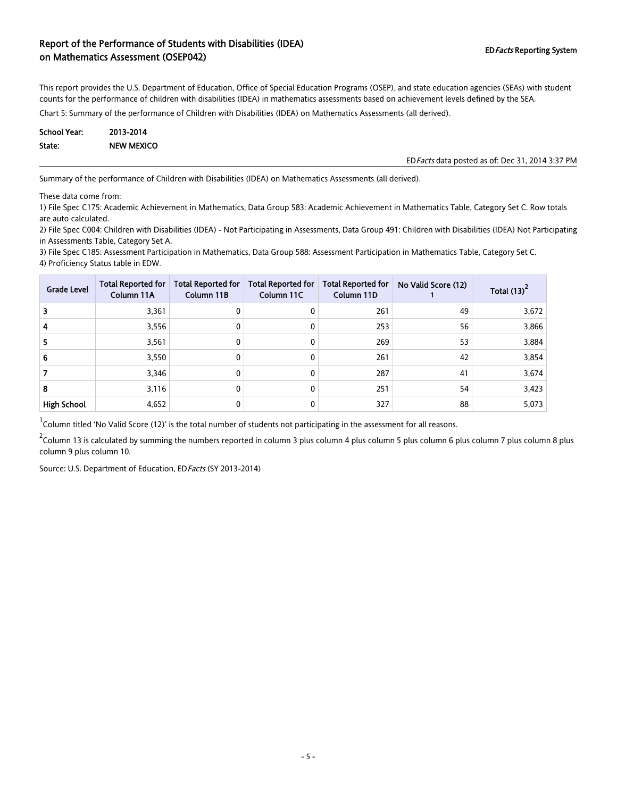### Report of the Performance of Students with Disabilities (IDEA) on Mathematics Assessment (OSEP042) and Disabilities (IDE) or Mathematics Assessment (OSEP042)

This report provides the U.S. Department of Education, Office of Special Education Programs (OSEP), and state education agencies (SEAs) with student counts for the performance of children with disabilities (IDEA) in mathematics assessments based on achievement levels defined by the SEA.

Chart 5: Summary of the performance of Children with Disabilities (IDEA) on Mathematics Assessments (all derived).

| <b>School Year:</b> | 2013-2014         |
|---------------------|-------------------|
| State:              | <b>NEW MEXICO</b> |

EDFacts data posted as of: Dec 31, 2014 3:37 PM

Summary of the performance of Children with Disabilities (IDEA) on Mathematics Assessments (all derived).

These data come from:

1) File Spec C175: Academic Achievement in Mathematics, Data Group 583: Academic Achievement in Mathematics Table, Category Set C. Row totals are auto calculated.

2) File Spec C004: Children with Disabilities (IDEA) - Not Participating in Assessments, Data Group 491: Children with Disabilities (IDEA) Not Participating in Assessments Table, Category Set A.

3) File Spec C185: Assessment Participation in Mathematics, Data Group 588: Assessment Participation in Mathematics Table, Category Set C. 4) Proficiency Status table in EDW.

| <b>Grade Level</b> | <b>Total Reported for</b><br>Column 11A | <b>Total Reported for</b><br>Column 11B | <b>Total Reported for</b><br>Column 11C | <b>Total Reported for</b><br>Column 11D | No Valid Score (12) | Total (13) |
|--------------------|-----------------------------------------|-----------------------------------------|-----------------------------------------|-----------------------------------------|---------------------|------------|
| 3                  | 3,361                                   |                                         | 0                                       | 261                                     | 49                  | 3,672      |
| 4                  | 3,556                                   | 0                                       | 0                                       | 253                                     | 56                  | 3,866      |
| 5                  | 3,561                                   | 0                                       | 0                                       | 269                                     | 53                  | 3,884      |
| 6                  | 3,550                                   | 0                                       | 0                                       | 261                                     | 42                  | 3,854      |
|                    | 3,346                                   | $\Omega$                                | 0                                       | 287                                     | 41                  | 3,674      |
| 8                  | 3,116                                   |                                         | 0                                       | 251                                     | 54                  | 3,423      |
| <b>High School</b> | 4,652                                   |                                         | 0                                       | 327                                     | 88                  | 5,073      |

 $^1$ Column titled 'No Valid Score (12)' is the total number of students not participating in the assessment for all reasons.

 $^2$ Column 13 is calculated by summing the numbers reported in column 3 plus column 4 plus column 6 plus column 7 plus column 8 plus  $\,$ column 9 plus column 10.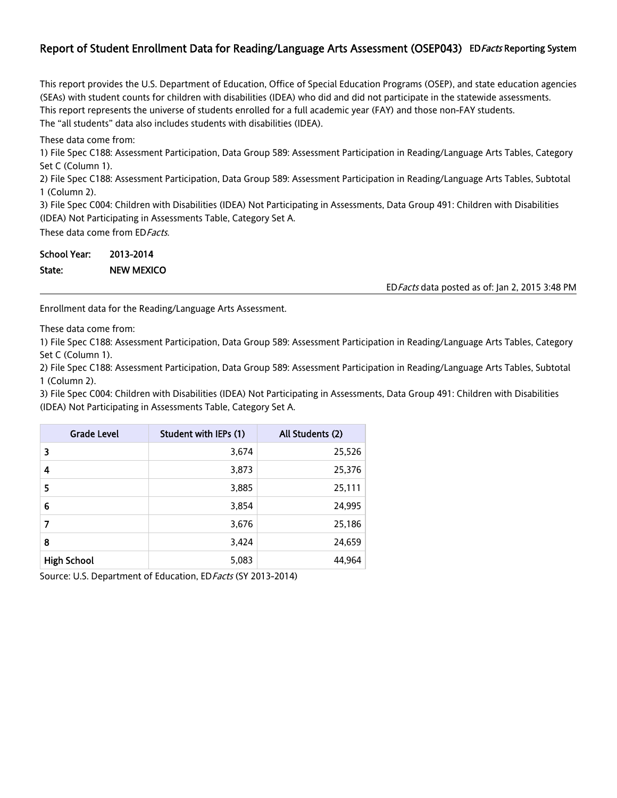## Report of Student Enrollment Data for Reading/Language Arts Assessment (OSEP043) ED Facts Reporting System

This report provides the U.S. Department of Education, Office of Special Education Programs (OSEP), and state education agencies (SEAs) with student counts for children with disabilities (IDEA) who did and did not participate in the statewide assessments. This report represents the universe of students enrolled for a full academic year (FAY) and those non-FAY students. The "all students" data also includes students with disabilities (IDEA).

These data come from:

1) File Spec C188: Assessment Participation, Data Group 589: Assessment Participation in Reading/Language Arts Tables, Category Set C (Column 1).

2) File Spec C188: Assessment Participation, Data Group 589: Assessment Participation in Reading/Language Arts Tables, Subtotal 1 (Column 2).

3) File Spec C004: Children with Disabilities (IDEA) Not Participating in Assessments, Data Group 491: Children with Disabilities (IDEA) Not Participating in Assessments Table, Category Set A.

These data come from ED Facts.

| <b>School Year:</b> | 2013-2014         |
|---------------------|-------------------|
| State:              | <b>NEW MEXICO</b> |

EDFacts data posted as of: Jan 2, 2015 3:48 PM

Enrollment data for the Reading/Language Arts Assessment.

These data come from:

1) File Spec C188: Assessment Participation, Data Group 589: Assessment Participation in Reading/Language Arts Tables, Category Set C (Column 1).

2) File Spec C188: Assessment Participation, Data Group 589: Assessment Participation in Reading/Language Arts Tables, Subtotal 1 (Column 2).

3) File Spec C004: Children with Disabilities (IDEA) Not Participating in Assessments, Data Group 491: Children with Disabilities (IDEA) Not Participating in Assessments Table, Category Set A.

| <b>Grade Level</b> | Student with IEPs (1) | All Students (2) |
|--------------------|-----------------------|------------------|
| 3                  | 3,674                 | 25,526           |
| 4                  | 3,873                 | 25,376           |
| 5                  | 3,885                 | 25,111           |
| 6                  | 3,854                 | 24,995           |
| 7                  | 3,676                 | 25,186           |
| 8                  | 3,424                 | 24,659           |
| <b>High School</b> | 5,083                 | 44,964           |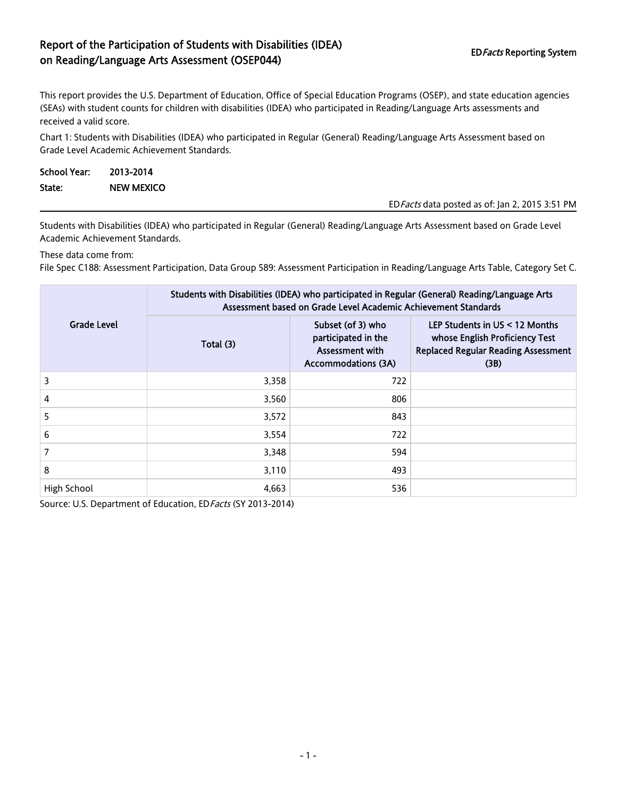# Report of the Participation of Students with Disabilities (IDEA) on Reading/Language Arts Assessment (OSEP044) EDFacts Reporting System EDFacts Reporting System

This report provides the U.S. Department of Education, Office of Special Education Programs (OSEP), and state education agencies (SEAs) with student counts for children with disabilities (IDEA) who participated in Reading/Language Arts assessments and received a valid score.

Chart 1: Students with Disabilities (IDEA) who participated in Regular (General) Reading/Language Arts Assessment based on Grade Level Academic Achievement Standards.

| School Year: | 2013-2014  |                                                 |
|--------------|------------|-------------------------------------------------|
| State:       | NEW MEXICO |                                                 |
|              |            | ED Facts data posted as of: Jan 2, 2015 3:51 PM |

Students with Disabilities (IDEA) who participated in Regular (General) Reading/Language Arts Assessment based on Grade Level Academic Achievement Standards.

These data come from:

File Spec C188: Assessment Participation, Data Group 589: Assessment Participation in Reading/Language Arts Table, Category Set C.

|                    | Students with Disabilities (IDEA) who participated in Regular (General) Reading/Language Arts<br>Assessment based on Grade Level Academic Achievement Standards |                                                                                           |                                                                                                                          |  |  |
|--------------------|-----------------------------------------------------------------------------------------------------------------------------------------------------------------|-------------------------------------------------------------------------------------------|--------------------------------------------------------------------------------------------------------------------------|--|--|
| <b>Grade Level</b> | Total (3)                                                                                                                                                       | Subset (of 3) who<br>participated in the<br>Assessment with<br><b>Accommodations (3A)</b> | LEP Students in $US < 12$ Months<br>whose English Proficiency Test<br><b>Replaced Regular Reading Assessment</b><br>(3B) |  |  |
| 3                  | 3,358                                                                                                                                                           | 722                                                                                       |                                                                                                                          |  |  |
| 4                  | 3,560                                                                                                                                                           | 806                                                                                       |                                                                                                                          |  |  |
| 5                  | 3,572                                                                                                                                                           | 843                                                                                       |                                                                                                                          |  |  |
| 6                  | 3,554                                                                                                                                                           | 722                                                                                       |                                                                                                                          |  |  |
| 7                  | 3,348                                                                                                                                                           | 594                                                                                       |                                                                                                                          |  |  |
| 8                  | 3,110                                                                                                                                                           | 493                                                                                       |                                                                                                                          |  |  |
| High School        | 4,663                                                                                                                                                           | 536                                                                                       |                                                                                                                          |  |  |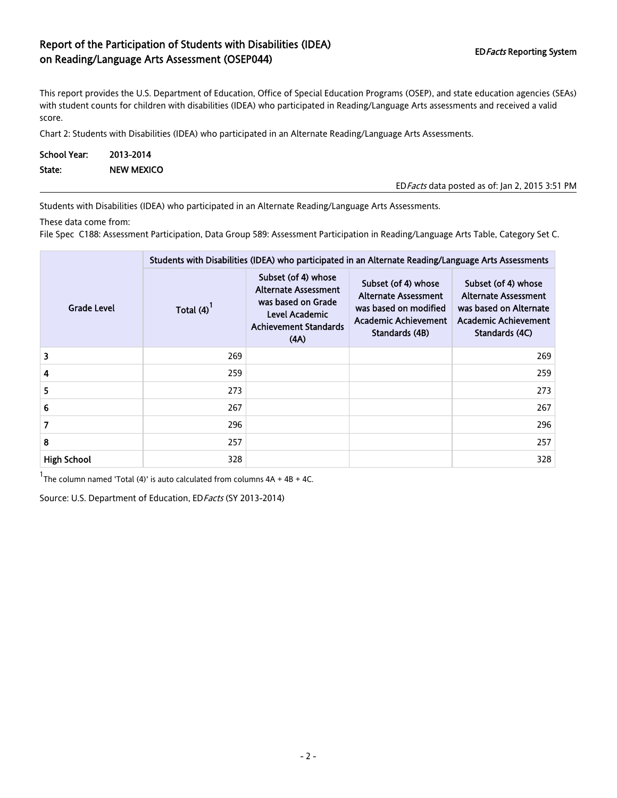# Report of the Participation of Students with Disabilities (IDEA) on Reading/Language Arts Assessment (OSEP044) EDFacts Reporting System EDFacts Reporting System

EDFacts data posted as of: Jan 2, 2015 3:51 PM

This report provides the U.S. Department of Education, Office of Special Education Programs (OSEP), and state education agencies (SEAs) with student counts for children with disabilities (IDEA) who participated in Reading/Language Arts assessments and received a valid score.

Chart 2: Students with Disabilities (IDEA) who participated in an Alternate Reading/Language Arts Assessments.

| <b>School Year:</b> | 2013-2014         |
|---------------------|-------------------|
| State:              | <b>NEW MEXICO</b> |

Students with Disabilities (IDEA) who participated in an Alternate Reading/Language Arts Assessments.

These data come from:

File Spec C188: Assessment Participation, Data Group 589: Assessment Participation in Reading/Language Arts Table, Category Set C.

|                    | Students with Disabilities (IDEA) who participated in an Alternate Reading/Language Arts Assessments |                                                                                                                                    |                                                                                                                       |                                                                                                                        |  |  |
|--------------------|------------------------------------------------------------------------------------------------------|------------------------------------------------------------------------------------------------------------------------------------|-----------------------------------------------------------------------------------------------------------------------|------------------------------------------------------------------------------------------------------------------------|--|--|
| Grade Level        | Total (4)                                                                                            | Subset (of 4) whose<br><b>Alternate Assessment</b><br>was based on Grade<br>Level Academic<br><b>Achievement Standards</b><br>(AA) | Subset (of 4) whose<br>Alternate Assessment<br>was based on modified<br><b>Academic Achievement</b><br>Standards (4B) | Subset (of 4) whose<br>Alternate Assessment<br>was based on Alternate<br><b>Academic Achievement</b><br>Standards (4C) |  |  |
| 3                  | 269                                                                                                  |                                                                                                                                    |                                                                                                                       | 269                                                                                                                    |  |  |
| 4                  | 259                                                                                                  |                                                                                                                                    |                                                                                                                       | 259                                                                                                                    |  |  |
| 5.                 | 273                                                                                                  |                                                                                                                                    |                                                                                                                       | 273                                                                                                                    |  |  |
| 6                  | 267                                                                                                  |                                                                                                                                    |                                                                                                                       | 267                                                                                                                    |  |  |
| 7                  | 296                                                                                                  |                                                                                                                                    |                                                                                                                       | 296                                                                                                                    |  |  |
| 8                  | 257                                                                                                  |                                                                                                                                    |                                                                                                                       | 257                                                                                                                    |  |  |
| <b>High School</b> | 328                                                                                                  |                                                                                                                                    |                                                                                                                       | 328                                                                                                                    |  |  |

 $1$ The column named 'Total (4)' is auto calculated from columns  $4A + 4B + 4C$ .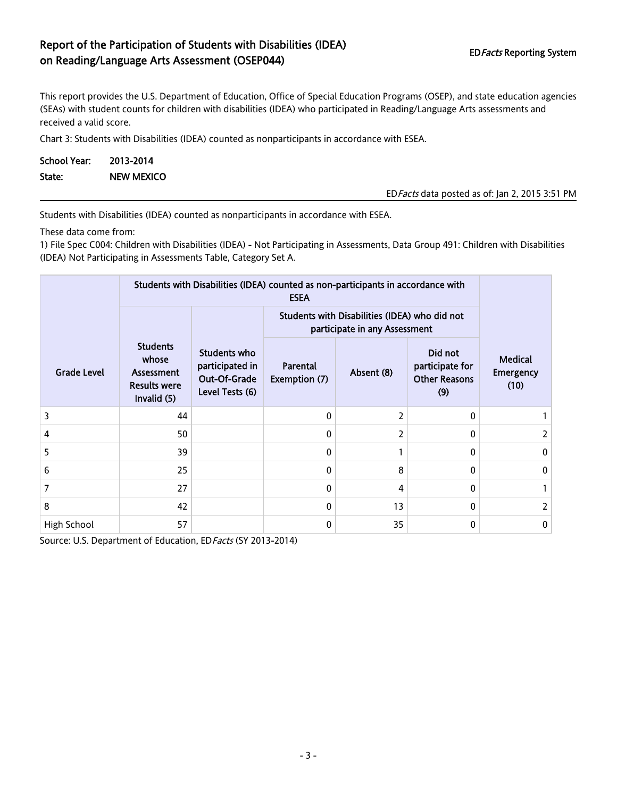# Report of the Participation of Students with Disabilities (IDEA) on Reading/Language Arts Assessment (OSEP044) EDFacts Reporting System

This report provides the U.S. Department of Education, Office of Special Education Programs (OSEP), and state education agencies (SEAs) with student counts for children with disabilities (IDEA) who participated in Reading/Language Arts assessments and received a valid score.

Chart 3: Students with Disabilities (IDEA) counted as nonparticipants in accordance with ESEA.

| School Year: | 2013-2014         |
|--------------|-------------------|
| State:       | <b>NEW MEXICO</b> |

EDFacts data posted as of: Jan 2, 2015 3:51 PM

Students with Disabilities (IDEA) counted as nonparticipants in accordance with ESEA.

These data come from:

1) File Spec C004: Children with Disabilities (IDEA) - Not Participating in Assessments, Data Group 491: Children with Disabilities (IDEA) Not Participating in Assessments Table, Category Set A.

|                    | Students with Disabilities (IDEA) counted as non-participants in accordance with |                                                                    |                           |                                                                                |                                                           |                                            |  |  |
|--------------------|----------------------------------------------------------------------------------|--------------------------------------------------------------------|---------------------------|--------------------------------------------------------------------------------|-----------------------------------------------------------|--------------------------------------------|--|--|
|                    |                                                                                  |                                                                    |                           | Students with Disabilities (IDEA) who did not<br>participate in any Assessment |                                                           |                                            |  |  |
| <b>Grade Level</b> | <b>Students</b><br>whose<br>Assessment<br><b>Results were</b><br>Invalid (5)     | Students who<br>participated in<br>Out-Of-Grade<br>Level Tests (6) | Parental<br>Exemption (7) | Absent (8)                                                                     | Did not<br>participate for<br><b>Other Reasons</b><br>(9) | <b>Medical</b><br><b>Emergency</b><br>(10) |  |  |
| 3                  | 44                                                                               |                                                                    | 0                         | 2                                                                              | $\Omega$                                                  |                                            |  |  |
| 4                  | 50                                                                               |                                                                    | 0                         | 2                                                                              | 0                                                         | 2                                          |  |  |
| 5                  | 39                                                                               |                                                                    | 0                         |                                                                                | 0                                                         | 0                                          |  |  |
| 6                  | 25                                                                               |                                                                    | 0                         | 8                                                                              | 0                                                         | 0                                          |  |  |
| 7                  | 27                                                                               |                                                                    | 0                         | 4                                                                              | 0                                                         |                                            |  |  |
| 8                  | 42                                                                               |                                                                    | 0                         | 13                                                                             | 0                                                         |                                            |  |  |
| High School        | 57                                                                               |                                                                    | 0                         | 35                                                                             | 0                                                         | 0                                          |  |  |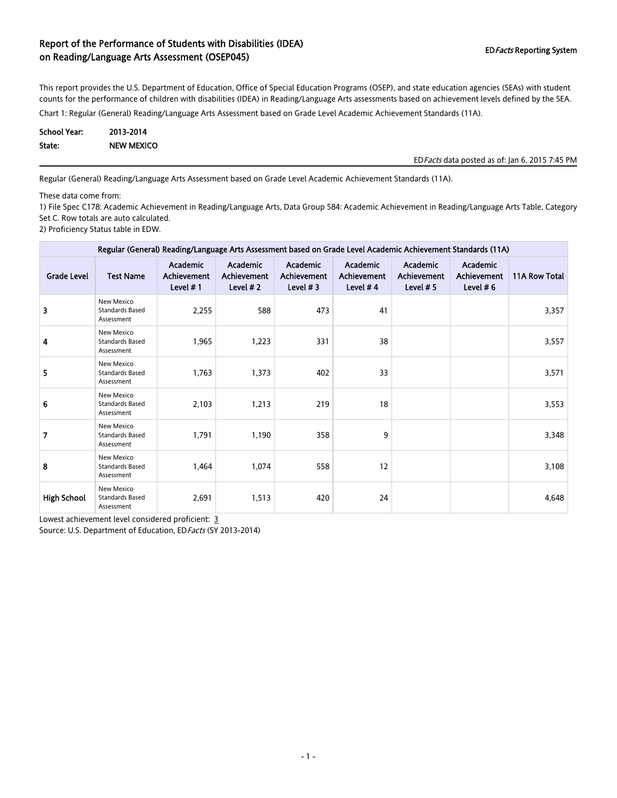This report provides the U.S. Department of Education, Office of Special Education Programs (OSEP), and state education agencies (SEAs) with student counts for the performance of children with disabilities (IDEA) in Reading/Language Arts assessments based on achievement levels defined by the SEA.

Chart 1: Regular (General) Reading/Language Arts Assessment based on Grade Level Academic Achievement Standards (11A).

| School Year: | 2013-2014         |
|--------------|-------------------|
| State:       | <b>NEW MEXICO</b> |

EDFacts data posted as of: Jan 6, 2015 7:45 PM

Regular (General) Reading/Language Arts Assessment based on Grade Level Academic Achievement Standards (11A).

These data come from:

1) File Spec C178: Academic Achievement in Reading/Language Arts, Data Group 584: Academic Achievement in Reading/Language Arts Table, Category Set C. Row totals are auto calculated.

2) Proficiency Status table in EDW.

| Regular (General) Reading/Language Arts Assessment based on Grade Level Academic Achievement Standards (11A) |                                                           |                                                   |                                               |                                                      |                                              |                                               |                                               |               |
|--------------------------------------------------------------------------------------------------------------|-----------------------------------------------------------|---------------------------------------------------|-----------------------------------------------|------------------------------------------------------|----------------------------------------------|-----------------------------------------------|-----------------------------------------------|---------------|
| <b>Grade Level</b>                                                                                           | <b>Test Name</b>                                          | <b>Academic</b><br><b>Achievement</b><br>Level #1 | Academic<br><b>Achievement</b><br>Level $# 2$ | <b>Academic</b><br><b>Achievement</b><br>Level $# 3$ | <b>Academic</b><br>Achievement<br>Level $#4$ | Academic<br><b>Achievement</b><br>Level $# 5$ | Academic<br><b>Achievement</b><br>Level $# 6$ | 11A Row Total |
| 3                                                                                                            | New Mexico<br><b>Standards Based</b><br>Assessment        | 2,255                                             | 588                                           | 473                                                  | 41                                           |                                               |                                               | 3,357         |
| 4                                                                                                            | New Mexico<br><b>Standards Based</b><br>Assessment        | 1,965                                             | 1,223                                         | 331                                                  | 38                                           |                                               |                                               | 3,557         |
| 5                                                                                                            | <b>New Mexico</b><br><b>Standards Based</b><br>Assessment | 1,763                                             | 1,373                                         | 402                                                  | 33                                           |                                               |                                               | 3,571         |
| 6                                                                                                            | New Mexico<br><b>Standards Based</b><br>Assessment        | 2,103                                             | 1,213                                         | 219                                                  | 18                                           |                                               |                                               | 3,553         |
| 7                                                                                                            | New Mexico<br><b>Standards Based</b><br>Assessment        | 1,791                                             | 1,190                                         | 358                                                  | 9                                            |                                               |                                               | 3,348         |
| 8                                                                                                            | New Mexico<br><b>Standards Based</b><br>Assessment        | 1,464                                             | 1,074                                         | 558                                                  | 12                                           |                                               |                                               | 3,108         |
| <b>High School</b>                                                                                           | New Mexico<br><b>Standards Based</b><br>Assessment        | 2,691                                             | 1,513                                         | 420                                                  | 24                                           |                                               |                                               | 4,648         |

Lowest achievement level considered proficient: 3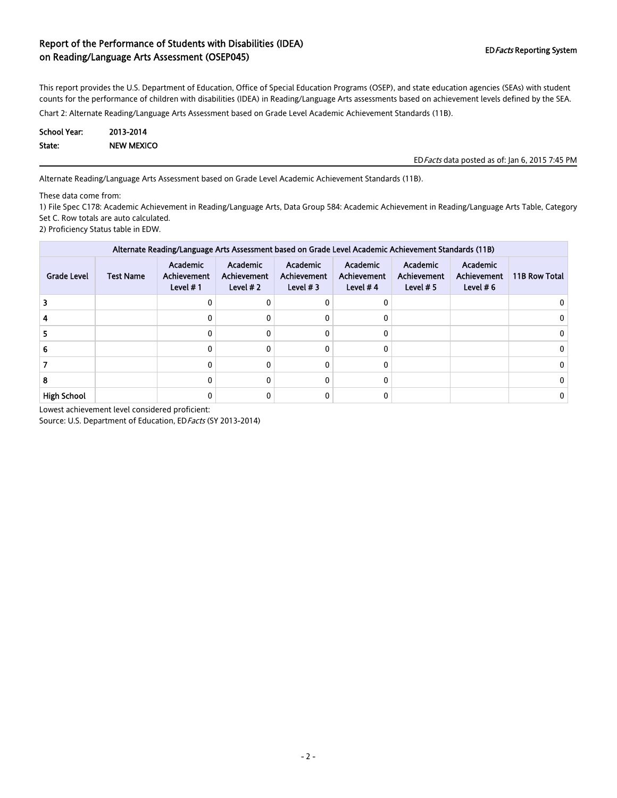This report provides the U.S. Department of Education, Office of Special Education Programs (OSEP), and state education agencies (SEAs) with student counts for the performance of children with disabilities (IDEA) in Reading/Language Arts assessments based on achievement levels defined by the SEA.

Chart 2: Alternate Reading/Language Arts Assessment based on Grade Level Academic Achievement Standards (11B).

| School Year: | 2013-2014         |
|--------------|-------------------|
| State:       | <b>NEW MEXICO</b> |

EDFacts data posted as of: Jan 6, 2015 7:45 PM

Alternate Reading/Language Arts Assessment based on Grade Level Academic Achievement Standards (11B).

These data come from:

1) File Spec C178: Academic Achievement in Reading/Language Arts, Data Group 584: Academic Achievement in Reading/Language Arts Table, Category Set C. Row totals are auto calculated.

2) Proficiency Status table in EDW.

| Alternate Reading/Language Arts Assessment based on Grade Level Academic Achievement Standards (11B) |                  |                                                      |                                              |                                       |                                                     |                                        |                                        |               |
|------------------------------------------------------------------------------------------------------|------------------|------------------------------------------------------|----------------------------------------------|---------------------------------------|-----------------------------------------------------|----------------------------------------|----------------------------------------|---------------|
| <b>Grade Level</b>                                                                                   | <b>Test Name</b> | <b>Academic</b><br><b>Achievement</b><br>Level $# 1$ | Academic<br><b>Achievement</b><br>Level $#2$ | Academic<br>Achievement<br>Level $#3$ | <b>Academic</b><br><b>Achievement</b><br>Level $#4$ | Academic<br>Achievement<br>Level $# 5$ | Academic<br>Achievement<br>Level $# 6$ | 11B Row Total |
|                                                                                                      |                  |                                                      | 0                                            | ŋ                                     |                                                     |                                        |                                        |               |
|                                                                                                      |                  |                                                      | 0                                            | 0                                     |                                                     |                                        |                                        |               |
|                                                                                                      |                  |                                                      | ŋ                                            |                                       |                                                     |                                        |                                        |               |
|                                                                                                      |                  |                                                      | 0                                            | $\Omega$                              |                                                     |                                        |                                        |               |
|                                                                                                      |                  |                                                      |                                              | 0                                     |                                                     |                                        |                                        |               |
| o                                                                                                    |                  |                                                      | ŋ                                            | 0                                     |                                                     |                                        |                                        |               |
| <b>High School</b>                                                                                   |                  |                                                      |                                              |                                       |                                                     |                                        |                                        |               |

Lowest achievement level considered proficient: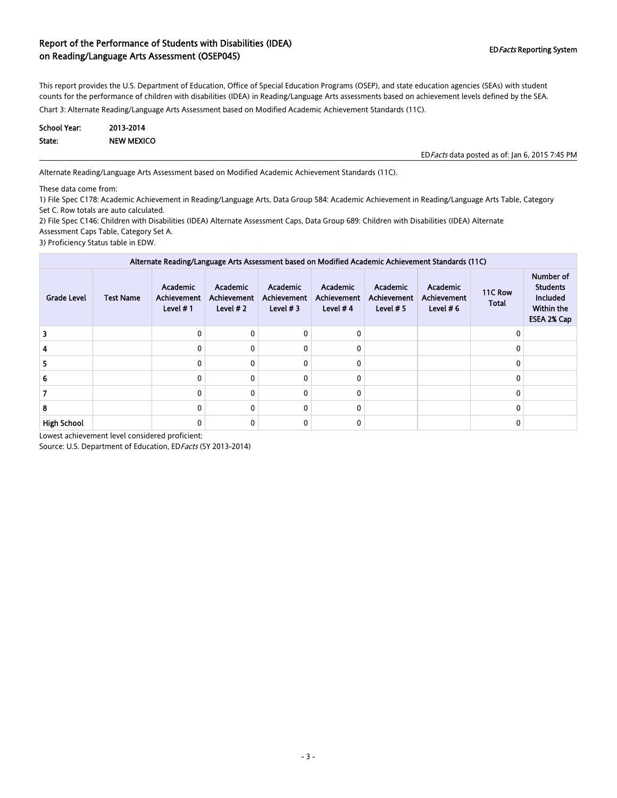This report provides the U.S. Department of Education, Office of Special Education Programs (OSEP), and state education agencies (SEAs) with student counts for the performance of children with disabilities (IDEA) in Reading/Language Arts assessments based on achievement levels defined by the SEA.

Chart 3: Alternate Reading/Language Arts Assessment based on Modified Academic Achievement Standards (11C).

| <b>School Year:</b> | 2013-2014         |
|---------------------|-------------------|
| State:              | <b>NEW MEXICO</b> |

EDFacts data posted as of: Jan 6, 2015 7:45 PM

Alternate Reading/Language Arts Assessment based on Modified Academic Achievement Standards (11C).

These data come from:

1) File Spec C178: Academic Achievement in Reading/Language Arts, Data Group 584: Academic Achievement in Reading/Language Arts Table, Category Set C. Row totals are auto calculated.

2) File Spec C146: Children with Disabilities (IDEA) Alternate Assessment Caps, Data Group 689: Children with Disabilities (IDEA) Alternate Assessment Caps Table, Category Set A.

3) Proficiency Status table in EDW.

| Alternate Reading/Language Arts Assessment based on Modified Academic Achievement Standards (11C) |                  |                                                     |                                              |                                              |                                              |                                                      |                                        |                         |                                                                       |
|---------------------------------------------------------------------------------------------------|------------------|-----------------------------------------------------|----------------------------------------------|----------------------------------------------|----------------------------------------------|------------------------------------------------------|----------------------------------------|-------------------------|-----------------------------------------------------------------------|
| <b>Grade Level</b>                                                                                | <b>Test Name</b> | <b>Academic</b><br><b>Achievement</b><br>Level $#1$ | <b>Academic</b><br>Achievement<br>Level $#2$ | Academic<br><b>Achievement</b><br>Level $#3$ | Academic<br><b>Achievement</b><br>Level $#4$ | <b>Academic</b><br><b>Achievement</b><br>Level $# 5$ | Academic<br>Achievement<br>Level $# 6$ | 11C Row<br><b>Total</b> | Number of<br><b>Students</b><br>Included<br>Within the<br>ESEA 2% Cap |
|                                                                                                   |                  | 0                                                   | 0                                            |                                              | 0                                            |                                                      |                                        | O                       |                                                                       |
|                                                                                                   |                  | 0                                                   | $\mathbf{0}$                                 |                                              | $\Omega$                                     |                                                      |                                        |                         |                                                                       |
|                                                                                                   |                  | 0                                                   | $\mathbf{0}$                                 |                                              | $\Omega$                                     |                                                      |                                        |                         |                                                                       |
|                                                                                                   |                  | 0                                                   | $\mathbf{0}$                                 |                                              | 0                                            |                                                      |                                        |                         |                                                                       |
|                                                                                                   |                  | 0                                                   | 0                                            |                                              | 0                                            |                                                      |                                        |                         |                                                                       |
| 8                                                                                                 |                  | 0                                                   | $\mathbf{0}$                                 |                                              | 0                                            |                                                      |                                        |                         |                                                                       |
| <b>High School</b>                                                                                |                  | 0                                                   | 0                                            |                                              | 0                                            |                                                      |                                        |                         |                                                                       |

Lowest achievement level considered proficient: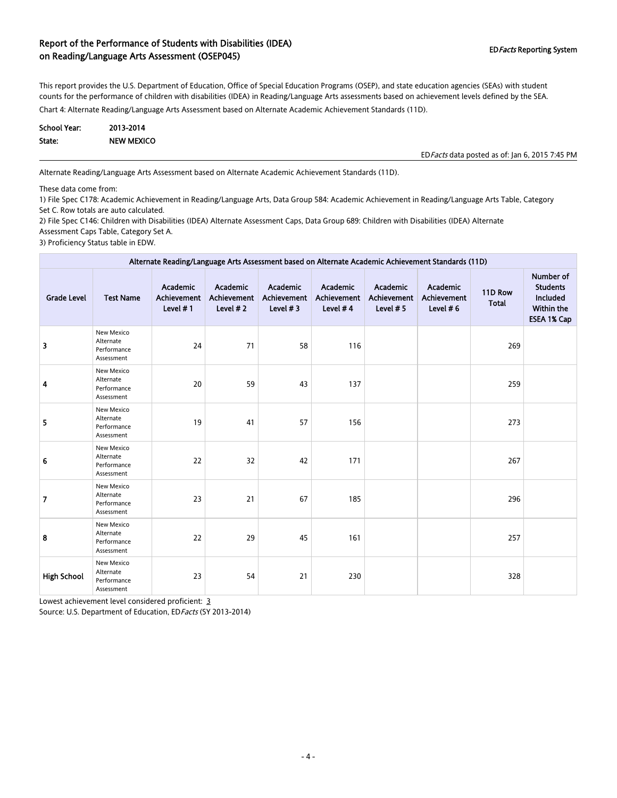This report provides the U.S. Department of Education, Office of Special Education Programs (OSEP), and state education agencies (SEAs) with student counts for the performance of children with disabilities (IDEA) in Reading/Language Arts assessments based on achievement levels defined by the SEA.

Chart 4: Alternate Reading/Language Arts Assessment based on Alternate Academic Achievement Standards (11D).

| <b>School Year:</b> | 2013-2014         |
|---------------------|-------------------|
| State:              | <b>NEW MEXICO</b> |

EDFacts data posted as of: Jan 6, 2015 7:45 PM

Alternate Reading/Language Arts Assessment based on Alternate Academic Achievement Standards (11D).

These data come from:

1) File Spec C178: Academic Achievement in Reading/Language Arts, Data Group 584: Academic Achievement in Reading/Language Arts Table, Category Set C. Row totals are auto calculated.

2) File Spec C146: Children with Disabilities (IDEA) Alternate Assessment Caps, Data Group 689: Children with Disabilities (IDEA) Alternate Assessment Caps Table, Category Set A.

3) Proficiency Status table in EDW.

| Alternate Reading/Language Arts Assessment based on Alternate Academic Achievement Standards (11D) |                                                      |                                               |                                               |                                        |                                            |                                               |                                        |                         |                                                                                     |
|----------------------------------------------------------------------------------------------------|------------------------------------------------------|-----------------------------------------------|-----------------------------------------------|----------------------------------------|--------------------------------------------|-----------------------------------------------|----------------------------------------|-------------------------|-------------------------------------------------------------------------------------|
| <b>Grade Level</b>                                                                                 | <b>Test Name</b>                                     | Academic<br><b>Achievement</b><br>Level $# 1$ | Academic<br><b>Achievement</b><br>Level $# 2$ | Academic<br>Achievement<br>Level $# 3$ | Academic<br><b>Achievement</b><br>Level #4 | Academic<br><b>Achievement</b><br>Level $# 5$ | Academic<br>Achievement<br>Level $# 6$ | 11D Row<br><b>Total</b> | <b>Number of</b><br><b>Students</b><br>Included<br>Within the<br><b>ESEA 1% Cap</b> |
| 3                                                                                                  | New Mexico<br>Alternate<br>Performance<br>Assessment | 24                                            | 71                                            | 58                                     | 116                                        |                                               |                                        | 269                     |                                                                                     |
| 4                                                                                                  | New Mexico<br>Alternate<br>Performance<br>Assessment | 20                                            | 59                                            | 43                                     | 137                                        |                                               |                                        | 259                     |                                                                                     |
| 5                                                                                                  | New Mexico<br>Alternate<br>Performance<br>Assessment | 19                                            | 41                                            | 57                                     | 156                                        |                                               |                                        | 273                     |                                                                                     |
| 6                                                                                                  | New Mexico<br>Alternate<br>Performance<br>Assessment | 22                                            | 32                                            | 42                                     | 171                                        |                                               |                                        | 267                     |                                                                                     |
| $\overline{7}$                                                                                     | New Mexico<br>Alternate<br>Performance<br>Assessment | 23                                            | 21                                            | 67                                     | 185                                        |                                               |                                        | 296                     |                                                                                     |
| 8                                                                                                  | New Mexico<br>Alternate<br>Performance<br>Assessment | 22                                            | 29                                            | 45                                     | 161                                        |                                               |                                        | 257                     |                                                                                     |
| <b>High School</b>                                                                                 | New Mexico<br>Alternate<br>Performance<br>Assessment | 23                                            | 54                                            | 21                                     | 230                                        |                                               |                                        | 328                     |                                                                                     |

Lowest achievement level considered proficient: 3